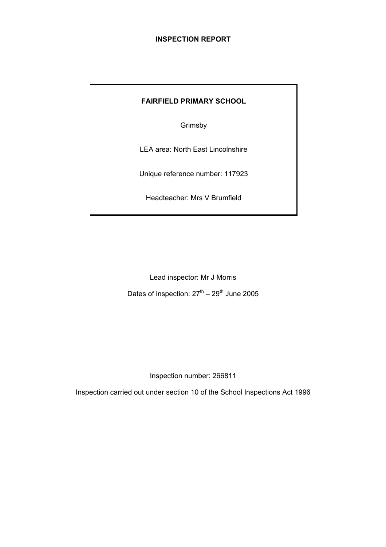# **INSPECTION REPORT**

# **FAIRFIELD PRIMARY SCHOOL**

Grimsby

LEA area: North East Lincolnshire

Unique reference number: 117923

Headteacher: Mrs V Brumfield

Lead inspector: Mr J Morris Dates of inspection:  $27<sup>th</sup> - 29<sup>th</sup>$  June 2005

Inspection number: 266811

Inspection carried out under section 10 of the School Inspections Act 1996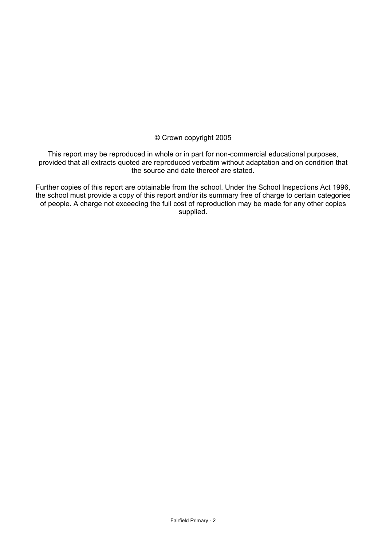# © Crown copyright 2005

This report may be reproduced in whole or in part for non-commercial educational purposes, provided that all extracts quoted are reproduced verbatim without adaptation and on condition that the source and date thereof are stated.

Further copies of this report are obtainable from the school. Under the School Inspections Act 1996, the school must provide a copy of this report and/or its summary free of charge to certain categories of people. A charge not exceeding the full cost of reproduction may be made for any other copies supplied.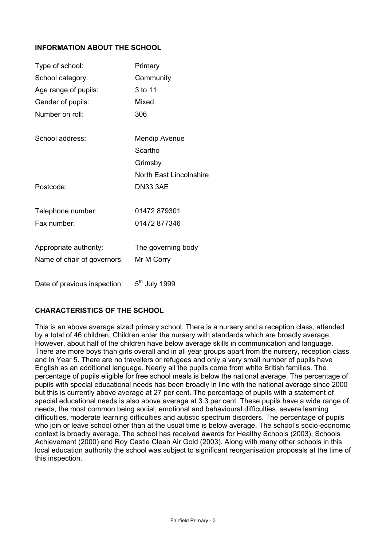# **INFORMATION ABOUT THE SCHOOL**

| Type of school:              | Primary                   |
|------------------------------|---------------------------|
| School category:             | Community                 |
| Age range of pupils:         | 3 to 11                   |
| Gender of pupils:            | Mixed                     |
| Number on roll:              | 306                       |
| School address:              | <b>Mendip Avenue</b>      |
|                              | Scartho                   |
|                              | Grimsby                   |
|                              | North East Lincolnshire   |
| Postcode:                    | <b>DN33 3AE</b>           |
| Telephone number:            | 01472879301               |
| Fax number:                  | 01472 877346              |
| Appropriate authority:       | The governing body        |
| Name of chair of governors:  | Mr M Corry                |
| Date of previous inspection: | 5 <sup>th</sup> July 1999 |

# **CHARACTERISTICS OF THE SCHOOL**

This is an above average sized primary school. There is a nursery and a reception class, attended by a total of 46 children. Children enter the nursery with standards which are broadly average. However, about half of the children have below average skills in communication and language. There are more boys than girls overall and in all year groups apart from the nursery, reception class and in Year 5. There are no travellers or refugees and only a very small number of pupils have English as an additional language. Nearly all the pupils come from white British families. The percentage of pupils eligible for free school meals is below the national average. The percentage of pupils with special educational needs has been broadly in line with the national average since 2000 but this is currently above average at 27 per cent. The percentage of pupils with a statement of special educational needs is also above average at 3.3 per cent. These pupils have a wide range of needs, the most common being social, emotional and behavioural difficulties, severe learning difficulties, moderate learning difficulties and autistic spectrum disorders. The percentage of pupils who join or leave school other than at the usual time is below average. The school's socio-economic context is broadly average. The school has received awards for Healthy Schools (2003), Schools Achievement (2000) and Roy Castle Clean Air Gold (2003). Along with many other schools in this local education authority the school was subject to significant reorganisation proposals at the time of this inspection.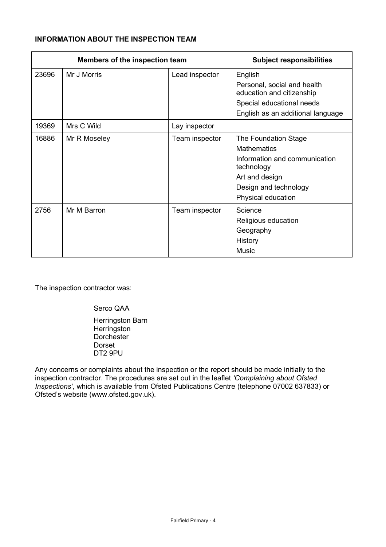# **INFORMATION ABOUT THE INSPECTION TEAM**

|       | Members of the inspection team |                | <b>Subject responsibilities</b>                                                                                                                            |
|-------|--------------------------------|----------------|------------------------------------------------------------------------------------------------------------------------------------------------------------|
| 23696 | Mr J Morris                    | Lead inspector | English<br>Personal, social and health<br>education and citizenship<br>Special educational needs<br>English as an additional language                      |
| 19369 | Mrs C Wild                     | Lay inspector  |                                                                                                                                                            |
| 16886 | Mr R Moseley                   | Team inspector | The Foundation Stage<br><b>Mathematics</b><br>Information and communication<br>technology<br>Art and design<br>Design and technology<br>Physical education |
| 2756  | Mr M Barron                    | Team inspector | Science<br>Religious education<br>Geography<br>History<br><b>Music</b>                                                                                     |

The inspection contractor was:

 Serco QAA Herringston Barn **Herringston Dorchester**  Dorset DT2 9PU

Any concerns or complaints about the inspection or the report should be made initially to the inspection contractor. The procedures are set out in the leaflet *'Complaining about Ofsted Inspections'*, which is available from Ofsted Publications Centre (telephone 07002 637833) or Ofsted's website (www.ofsted.gov.uk).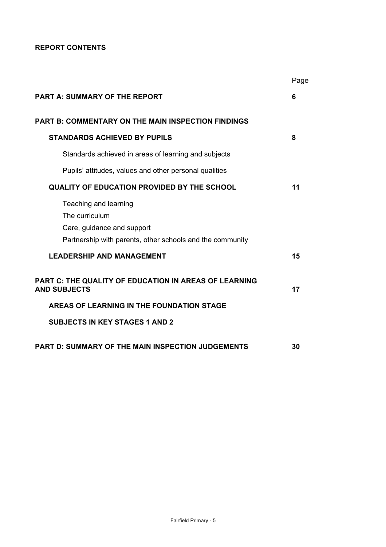**REPORT CONTENTS** 

|                                                                                                                                    | Page |
|------------------------------------------------------------------------------------------------------------------------------------|------|
| <b>PART A: SUMMARY OF THE REPORT</b>                                                                                               | 6    |
| PART B: COMMENTARY ON THE MAIN INSPECTION FINDINGS                                                                                 |      |
| <b>STANDARDS ACHIEVED BY PUPILS</b>                                                                                                | 8    |
| Standards achieved in areas of learning and subjects                                                                               |      |
| Pupils' attitudes, values and other personal qualities                                                                             |      |
| <b>QUALITY OF EDUCATION PROVIDED BY THE SCHOOL</b>                                                                                 | 11   |
| Teaching and learning<br>The curriculum<br>Care, guidance and support<br>Partnership with parents, other schools and the community |      |
| <b>LEADERSHIP AND MANAGEMENT</b>                                                                                                   | 15   |
| PART C: THE QUALITY OF EDUCATION IN AREAS OF LEARNING<br><b>AND SUBJECTS</b>                                                       | 17   |
| AREAS OF LEARNING IN THE FOUNDATION STAGE                                                                                          |      |
| <b>SUBJECTS IN KEY STAGES 1 AND 2</b>                                                                                              |      |
| <b>PART D: SUMMARY OF THE MAIN INSPECTION JUDGEMENTS</b>                                                                           | 30   |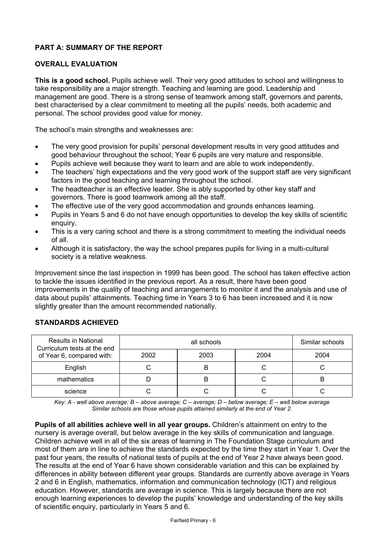# **PART A: SUMMARY OF THE REPORT**

# **OVERALL EVALUATION**

**This is a good school.** Pupils achieve well. Their very good attitudes to school and willingness to take responsibility are a major strength. Teaching and learning are good. Leadership and management are good. There is a strong sense of teamwork among staff, governors and parents, best characterised by a clear commitment to meeting all the pupils' needs, both academic and personal. The school provides good value for money.

The school's main strengths and weaknesses are:

- The very good provision for pupils' personal development results in very good attitudes and good behaviour throughout the school; Year 6 pupils are very mature and responsible.
- Pupils achieve well because they want to learn and are able to work independently.
- The teachers' high expectations and the very good work of the support staff are very significant factors in the good teaching and learning throughout the school.
- The headteacher is an effective leader. She is ably supported by other key staff and governors. There is good teamwork among all the staff.
- The effective use of the very good accommodation and grounds enhances learning.
- Pupils in Years 5 and 6 do not have enough opportunities to develop the key skills of scientific enquiry.
- This is a very caring school and there is a strong commitment to meeting the individual needs of all.
- Although it is satisfactory, the way the school prepares pupils for living in a multi-cultural society is a relative weakness.

Improvement since the last inspection in 1999 has been good. The school has taken effective action to tackle the issues identified in the previous report. As a result, there have been good improvements in the quality of teaching and arrangements to monitor it and the analysis and use of data about pupils' attainments. Teaching time in Years 3 to 6 has been increased and it is now slightly greater than the amount recommended nationally.

| <b>Results in National</b><br>Curriculum tests at the end |      | Similar schools |      |      |
|-----------------------------------------------------------|------|-----------------|------|------|
| of Year 6, compared with:                                 | 2002 | 2003            | 2004 | 2004 |
| English                                                   |      |                 |      |      |
| mathematics                                               |      | B               |      | в    |
| science                                                   |      |                 |      |      |

#### **STANDARDS ACHIEVED**

*Key: A - well above average; B – above average; C – average; D – below average; E – well below average Similar schools are those whose pupils attained similarly at the end of Year 2.* 

**Pupils of all abilities achieve well in all year groups.** Children's attainment on entry to the nursery is average overall, but below average in the key skills of communication and language. Children achieve well in all of the six areas of learning in The Foundation Stage curriculum and most of them are in line to achieve the standards expected by the time they start in Year 1. Over the past four years, the results of national tests of pupils at the end of Year 2 have always been good. The results at the end of Year 6 have shown considerable variation and this can be explained by differences in ability between different year groups. Standards are currently above average in Years 2 and 6 in English, mathematics, information and communication technology (ICT) and religious education. However, standards are average in science. This is largely because there are not enough learning experiences to develop the pupils' knowledge and understanding of the key skills of scientific enquiry, particularly in Years 5 and 6.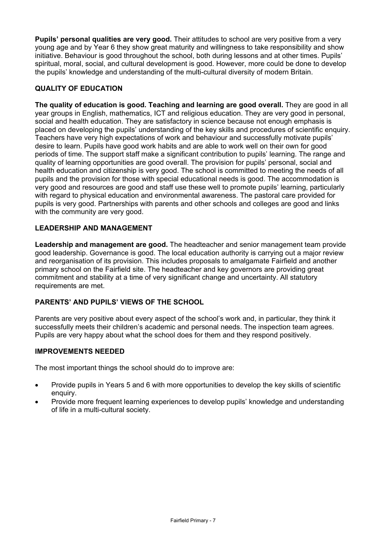**Pupils' personal qualities are very good.** Their attitudes to school are very positive from a very young age and by Year 6 they show great maturity and willingness to take responsibility and show initiative. Behaviour is good throughout the school, both during lessons and at other times. Pupils' spiritual, moral, social, and cultural development is good. However, more could be done to develop the pupils' knowledge and understanding of the multi-cultural diversity of modern Britain.

# **QUALITY OF EDUCATION**

**The quality of education is good. Teaching and learning are good overall.** They are good in all year groups in English, mathematics, ICT and religious education. They are very good in personal, social and health education. They are satisfactory in science because not enough emphasis is placed on developing the pupils' understanding of the key skills and procedures of scientific enquiry. Teachers have very high expectations of work and behaviour and successfully motivate pupils' desire to learn. Pupils have good work habits and are able to work well on their own for good periods of time. The support staff make a significant contribution to pupils' learning. The range and quality of learning opportunities are good overall. The provision for pupils' personal, social and health education and citizenship is very good. The school is committed to meeting the needs of all pupils and the provision for those with special educational needs is good. The accommodation is very good and resources are good and staff use these well to promote pupils' learning, particularly with regard to physical education and environmental awareness. The pastoral care provided for pupils is very good. Partnerships with parents and other schools and colleges are good and links with the community are very good.

# **LEADERSHIP AND MANAGEMENT**

**Leadership and management are good.** The headteacher and senior management team provide good leadership. Governance is good. The local education authority is carrying out a major review and reorganisation of its provision. This includes proposals to amalgamate Fairfield and another primary school on the Fairfield site. The headteacher and key governors are providing great commitment and stability at a time of very significant change and uncertainty. All statutory requirements are met.

# **PARENTS' AND PUPILS' VIEWS OF THE SCHOOL**

Parents are very positive about every aspect of the school's work and, in particular, they think it successfully meets their children's academic and personal needs. The inspection team agrees. Pupils are very happy about what the school does for them and they respond positively.

# **IMPROVEMENTS NEEDED**

The most important things the school should do to improve are:

- Provide pupils in Years 5 and 6 with more opportunities to develop the key skills of scientific enquiry.
- Provide more frequent learning experiences to develop pupils' knowledge and understanding of life in a multi-cultural society.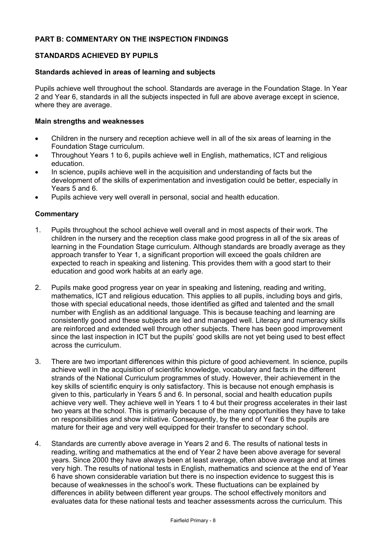# **PART B: COMMENTARY ON THE INSPECTION FINDINGS**

# **STANDARDS ACHIEVED BY PUPILS**

## **Standards achieved in areas of learning and subjects**

Pupils achieve well throughout the school. Standards are average in the Foundation Stage. In Year 2 and Year 6, standards in all the subjects inspected in full are above average except in science, where they are average.

## **Main strengths and weaknesses**

- Children in the nursery and reception achieve well in all of the six areas of learning in the Foundation Stage curriculum.
- Throughout Years 1 to 6, pupils achieve well in English, mathematics, ICT and religious education.
- In science, pupils achieve well in the acquisition and understanding of facts but the development of the skills of experimentation and investigation could be better, especially in Years 5 and 6.
- Pupils achieve very well overall in personal, social and health education.

- 1. Pupils throughout the school achieve well overall and in most aspects of their work. The children in the nursery and the reception class make good progress in all of the six areas of learning in the Foundation Stage curriculum. Although standards are broadly average as they approach transfer to Year 1, a significant proportion will exceed the goals children are expected to reach in speaking and listening. This provides them with a good start to their education and good work habits at an early age.
- 2. Pupils make good progress year on year in speaking and listening, reading and writing, mathematics, ICT and religious education. This applies to all pupils, including boys and girls, those with special educational needs, those identified as gifted and talented and the small number with English as an additional language. This is because teaching and learning are consistently good and these subjects are led and managed well. Literacy and numeracy skills are reinforced and extended well through other subjects. There has been good improvement since the last inspection in ICT but the pupils' good skills are not yet being used to best effect across the curriculum.
- 3. There are two important differences within this picture of good achievement. In science, pupils achieve well in the acquisition of scientific knowledge, vocabulary and facts in the different strands of the National Curriculum programmes of study. However, their achievement in the key skills of scientific enquiry is only satisfactory. This is because not enough emphasis is given to this, particularly in Years 5 and 6. In personal, social and health education pupils achieve very well. They achieve well in Years 1 to 4 but their progress accelerates in their last two years at the school. This is primarily because of the many opportunities they have to take on responsibilities and show initiative. Consequently, by the end of Year 6 the pupils are mature for their age and very well equipped for their transfer to secondary school.
- 4. Standards are currently above average in Years 2 and 6. The results of national tests in reading, writing and mathematics at the end of Year 2 have been above average for several years. Since 2000 they have always been at least average, often above average and at times very high. The results of national tests in English, mathematics and science at the end of Year 6 have shown considerable variation but there is no inspection evidence to suggest this is because of weaknesses in the school's work. These fluctuations can be explained by differences in ability between different year groups. The school effectively monitors and evaluates data for these national tests and teacher assessments across the curriculum. This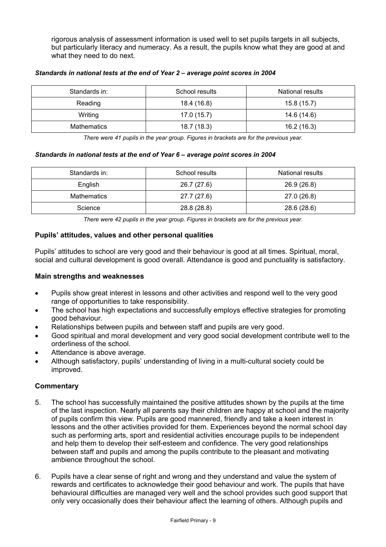rigorous analysis of assessment information is used well to set pupils targets in all subjects, but particularly literacy and numeracy. As a result, the pupils know what they are good at and what they need to do next.

| Standards in: | School results | <b>National results</b> |
|---------------|----------------|-------------------------|
| Reading       | 18.4 (16.8)    | 15.8(15.7)              |
| Writing       | 17.0(15.7)     | 14.6 (14.6)             |
| Mathematics   | 18.7 (18.3)    | 16.2(16.3)              |

#### *Standards in national tests at the end of Year 2 – average point scores in 2004*

*There were 41 pupils in the year group. Figures in brackets are for the previous year.* 

#### *Standards in national tests at the end of Year 6 – average point scores in 2004*

| Standards in:<br>School results |             | National results |
|---------------------------------|-------------|------------------|
| English                         | 26.7 (27.6) | 26.9 (26.8)      |
| Mathematics                     | 27.7 (27.6) | 27.0 (26.8)      |
| Science                         | 28.8 (28.8) | 28.6 (28.6)      |

*There were 42 pupils in the year group. Figures in brackets are for the previous year.* 

# **Pupils' attitudes, values and other personal qualities**

Pupils' attitudes to school are very good and their behaviour is good at all times. Spiritual, moral, social and cultural development is good overall. Attendance is good and punctuality is satisfactory.

#### **Main strengths and weaknesses**

- Pupils show great interest in lessons and other activities and respond well to the very good range of opportunities to take responsibility.
- The school has high expectations and successfully employs effective strategies for promoting good behaviour.
- Relationships between pupils and between staff and pupils are very good.
- Good spiritual and moral development and very good social development contribute well to the orderliness of the school.
- Attendance is above average.
- Although satisfactory, pupils' understanding of living in a multi-cultural society could be improved.

- 5. The school has successfully maintained the positive attitudes shown by the pupils at the time of the last inspection. Nearly all parents say their children are happy at school and the majority of pupils confirm this view. Pupils are good mannered, friendly and take a keen interest in lessons and the other activities provided for them. Experiences beyond the normal school day such as performing arts, sport and residential activities encourage pupils to be independent and help them to develop their self-esteem and confidence. The very good relationships between staff and pupils and among the pupils contribute to the pleasant and motivating ambience throughout the school.
- 6. Pupils have a clear sense of right and wrong and they understand and value the system of rewards and certificates to acknowledge their good behaviour and work. The pupils that have behavioural difficulties are managed very well and the school provides such good support that only very occasionally does their behaviour affect the learning of others. Although pupils and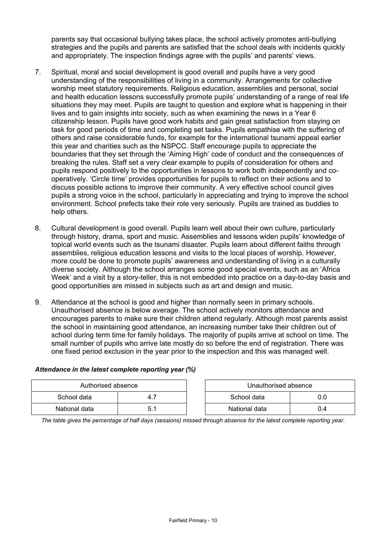parents say that occasional bullying takes place, the school actively promotes anti-bullying strategies and the pupils and parents are satisfied that the school deals with incidents quickly and appropriately. The inspection findings agree with the pupils' and parents' views.

- 7. Spiritual, moral and social development is good overall and pupils have a very good understanding of the responsibilities of living in a community. Arrangements for collective worship meet statutory requirements. Religious education, assemblies and personal, social and health education lessons successfully promote pupils' understanding of a range of real life situations they may meet. Pupils are taught to question and explore what is happening in their lives and to gain insights into society, such as when examining the news in a Year 6 citizenship lesson. Pupils have good work habits and gain great satisfaction from staying on task for good periods of time and completing set tasks. Pupils empathise with the suffering of others and raise considerable funds, for example for the international tsunami appeal earlier this year and charities such as the NSPCC. Staff encourage pupils to appreciate the boundaries that they set through the 'Aiming High' code of conduct and the consequences of breaking the rules. Staff set a very clear example to pupils of consideration for others and pupils respond positively to the opportunities in lessons to work both independently and cooperatively. 'Circle time' provides opportunities for pupils to reflect on their actions and to discuss possible actions to improve their community. A very effective school council gives pupils a strong voice in the school, particularly in appreciating and trying to improve the school environment. School prefects take their role very seriously. Pupils are trained as buddies to help others.
- 8. Cultural development is good overall. Pupils learn well about their own culture, particularly through history, drama, sport and music. Assemblies and lessons widen pupils' knowledge of topical world events such as the tsunami disaster. Pupils learn about different faiths through assemblies, religious education lessons and visits to the local places of worship. However, more could be done to promote pupils' awareness and understanding of living in a culturally diverse society. Although the school arranges some good special events, such as an 'Africa Week' and a visit by a story-teller, this is not embedded into practice on a day-to-day basis and good opportunities are missed in subjects such as art and design and music.
- 9. Attendance at the school is good and higher than normally seen in primary schools. Unauthorised absence is below average. The school actively monitors attendance and encourages parents to make sure their children attend regularly. Although most parents assist the school in maintaining good attendance, an increasing number take their children out of school during term time for family holidays. The majority of pupils arrive at school on time. The small number of pupils who arrive late mostly do so before the end of registration. There was one fixed period exclusion in the year prior to the inspection and this was managed well.

| Authorised absence |     |  | Unauthorised absence |     |
|--------------------|-----|--|----------------------|-----|
| School data        | 4.  |  | School data          |     |
| National data      | 5.1 |  | National data        | 0.4 |

# *Attendance in the latest complete reporting year (%)*

*The table gives the percentage of half days (sessions) missed through absence for the latest complete reporting year.*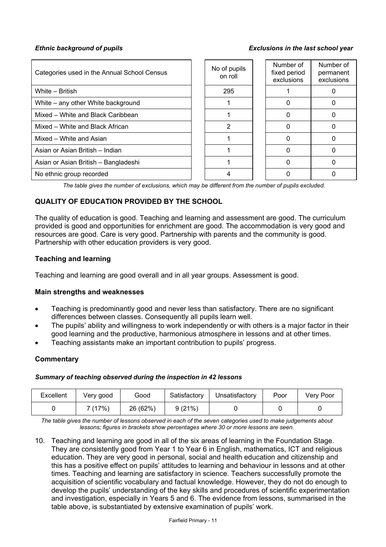#### *Ethnic background of pupils Exclusions in the last school year*

| Categories used in the Annual School Census | No of pupils<br>on roll | Number of<br>fixed period<br>exclusions | Number of<br>permanent<br>exclusions |
|---------------------------------------------|-------------------------|-----------------------------------------|--------------------------------------|
| White – British                             | 295                     |                                         |                                      |
| White – any other White background          |                         |                                         |                                      |
| Mixed – White and Black Caribbean           |                         |                                         |                                      |
| Mixed – White and Black African             | 2                       | $\Omega$                                |                                      |
| Mixed - White and Asian                     |                         |                                         |                                      |
| Asian or Asian British - Indian             |                         | O                                       |                                      |
| Asian or Asian British - Bangladeshi        |                         |                                         |                                      |
| No ethnic group recorded                    |                         |                                         |                                      |

*The table gives the number of exclusions, which may be different from the number of pupils excluded.*

# **QUALITY OF EDUCATION PROVIDED BY THE SCHOOL**

The quality of education is good. Teaching and learning and assessment are good. The curriculum provided is good and opportunities for enrichment are good. The accommodation is very good and resources are good. Care is very good. Partnership with parents and the community is good. Partnership with other education providers is very good.

## **Teaching and learning**

Teaching and learning are good overall and in all year groups. Assessment is good.

#### **Main strengths and weaknesses**

- Teaching is predominantly good and never less than satisfactory. There are no significant differences between classes. Consequently all pupils learn well.
- The pupils' ability and willingness to work independently or with others is a major factor in their good learning and the productive, harmonious atmosphere in lessons and at other times.
- Teaching assistants make an important contribution to pupils' progress.

# **Commentary**

#### *Summary of teaching observed during the inspection in 42 lessons*

| Excellent | Very good | Good     | Satisfactory | Unsatisfactory | Poor | Very Poor |
|-----------|-----------|----------|--------------|----------------|------|-----------|
|           | 7(17%)    | 26 (62%) | 9(21%)       |                |      |           |

*The table gives the number of lessons observed in each of the seven categories used to make judgements about lessons; figures in brackets show percentages where 30 or more lessons are seen.* 

10. Teaching and learning are good in all of the six areas of learning in the Foundation Stage. They are consistently good from Year 1 to Year 6 in English, mathematics, ICT and religious education. They are very good in personal, social and health education and citizenship and this has a positive effect on pupils' attitudes to learning and behaviour in lessons and at other times. Teaching and learning are satisfactory in science. Teachers successfully promote the acquisition of scientific vocabulary and factual knowledge. However, they do not do enough to develop the pupils' understanding of the key skills and procedures of scientific experimentation and investigation, especially in Years 5 and 6. The evidence from lessons, summarised in the table above, is substantiated by extensive examination of pupils' work.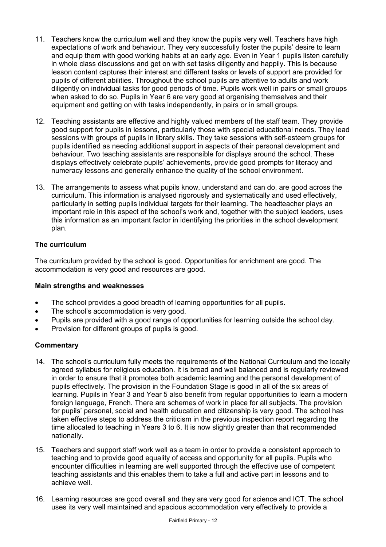- 11. Teachers know the curriculum well and they know the pupils very well. Teachers have high expectations of work and behaviour. They very successfully foster the pupils' desire to learn and equip them with good working habits at an early age. Even in Year 1 pupils listen carefully in whole class discussions and get on with set tasks diligently and happily. This is because lesson content captures their interest and different tasks or levels of support are provided for pupils of different abilities. Throughout the school pupils are attentive to adults and work diligently on individual tasks for good periods of time. Pupils work well in pairs or small groups when asked to do so. Pupils in Year 6 are very good at organising themselves and their equipment and getting on with tasks independently, in pairs or in small groups.
- 12. Teaching assistants are effective and highly valued members of the staff team. They provide good support for pupils in lessons, particularly those with special educational needs. They lead sessions with groups of pupils in library skills. They take sessions with self-esteem groups for pupils identified as needing additional support in aspects of their personal development and behaviour. Two teaching assistants are responsible for displays around the school. These displays effectively celebrate pupils' achievements, provide good prompts for literacy and numeracy lessons and generally enhance the quality of the school environment.
- 13. The arrangements to assess what pupils know, understand and can do, are good across the curriculum. This information is analysed rigorously and systematically and used effectively, particularly in setting pupils individual targets for their learning. The headteacher plays an important role in this aspect of the school's work and, together with the subject leaders, uses this information as an important factor in identifying the priorities in the school development plan.

# **The curriculum**

The curriculum provided by the school is good. Opportunities for enrichment are good. The accommodation is very good and resources are good.

# **Main strengths and weaknesses**

- The school provides a good breadth of learning opportunities for all pupils.
- The school's accommodation is very good.
- Pupils are provided with a good range of opportunities for learning outside the school day.
- Provision for different groups of pupils is good.

- 14. The school's curriculum fully meets the requirements of the National Curriculum and the locally agreed syllabus for religious education. It is broad and well balanced and is regularly reviewed in order to ensure that it promotes both academic learning and the personal development of pupils effectively. The provision in the Foundation Stage is good in all of the six areas of learning. Pupils in Year 3 and Year 5 also benefit from regular opportunities to learn a modern foreign language, French. There are schemes of work in place for all subjects. The provision for pupils' personal, social and health education and citizenship is very good. The school has taken effective steps to address the criticism in the previous inspection report regarding the time allocated to teaching in Years 3 to 6. It is now slightly greater than that recommended nationally.
- 15. Teachers and support staff work well as a team in order to provide a consistent approach to teaching and to provide good equality of access and opportunity for all pupils. Pupils who encounter difficulties in learning are well supported through the effective use of competent teaching assistants and this enables them to take a full and active part in lessons and to achieve well.
- 16. Learning resources are good overall and they are very good for science and ICT. The school uses its very well maintained and spacious accommodation very effectively to provide a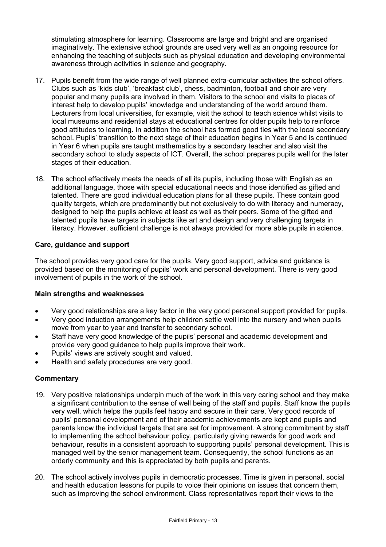stimulating atmosphere for learning. Classrooms are large and bright and are organised imaginatively. The extensive school grounds are used very well as an ongoing resource for enhancing the teaching of subjects such as physical education and developing environmental awareness through activities in science and geography.

- 17. Pupils benefit from the wide range of well planned extra-curricular activities the school offers. Clubs such as 'kids club', 'breakfast club', chess, badminton, football and choir are very popular and many pupils are involved in them. Visitors to the school and visits to places of interest help to develop pupils' knowledge and understanding of the world around them. Lecturers from local universities, for example, visit the school to teach science whilst visits to local museums and residential stays at educational centres for older pupils help to reinforce good attitudes to learning. In addition the school has formed good ties with the local secondary school. Pupils' transition to the next stage of their education begins in Year 5 and is continued in Year 6 when pupils are taught mathematics by a secondary teacher and also visit the secondary school to study aspects of ICT. Overall, the school prepares pupils well for the later stages of their education.
- 18. The school effectively meets the needs of all its pupils, including those with English as an additional language, those with special educational needs and those identified as gifted and talented. There are good individual education plans for all these pupils. These contain good quality targets, which are predominantly but not exclusively to do with literacy and numeracy, designed to help the pupils achieve at least as well as their peers. Some of the gifted and talented pupils have targets in subjects like art and design and very challenging targets in literacy. However, sufficient challenge is not always provided for more able pupils in science.

# **Care, guidance and support**

The school provides very good care for the pupils. Very good support, advice and guidance is provided based on the monitoring of pupils' work and personal development. There is very good involvement of pupils in the work of the school.

# **Main strengths and weaknesses**

- Very good relationships are a key factor in the very good personal support provided for pupils.
- Very good induction arrangements help children settle well into the nursery and when pupils move from year to year and transfer to secondary school.
- Staff have very good knowledge of the pupils' personal and academic development and provide very good guidance to help pupils improve their work.
- Pupils' views are actively sought and valued.
- Health and safety procedures are very good.

- 19. Very positive relationships underpin much of the work in this very caring school and they make a significant contribution to the sense of well being of the staff and pupils. Staff know the pupils very well, which helps the pupils feel happy and secure in their care. Very good records of pupils' personal development and of their academic achievements are kept and pupils and parents know the individual targets that are set for improvement. A strong commitment by staff to implementing the school behaviour policy, particularly giving rewards for good work and behaviour, results in a consistent approach to supporting pupils' personal development. This is managed well by the senior management team. Consequently, the school functions as an orderly community and this is appreciated by both pupils and parents.
- 20. The school actively involves pupils in democratic processes. Time is given in personal, social and health education lessons for pupils to voice their opinions on issues that concern them, such as improving the school environment. Class representatives report their views to the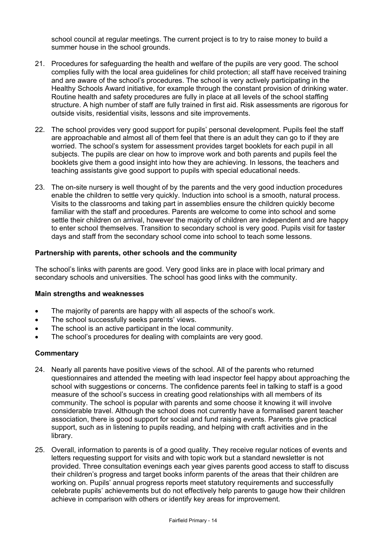school council at regular meetings. The current project is to try to raise money to build a summer house in the school grounds.

- 21. Procedures for safeguarding the health and welfare of the pupils are very good. The school complies fully with the local area guidelines for child protection; all staff have received training and are aware of the school's procedures. The school is very actively participating in the Healthy Schools Award initiative, for example through the constant provision of drinking water. Routine health and safety procedures are fully in place at all levels of the school staffing structure. A high number of staff are fully trained in first aid. Risk assessments are rigorous for outside visits, residential visits, lessons and site improvements.
- 22. The school provides very good support for pupils' personal development. Pupils feel the staff are approachable and almost all of them feel that there is an adult they can go to if they are worried. The school's system for assessment provides target booklets for each pupil in all subjects. The pupils are clear on how to improve work and both parents and pupils feel the booklets give them a good insight into how they are achieving. In lessons, the teachers and teaching assistants give good support to pupils with special educational needs.
- 23. The on-site nursery is well thought of by the parents and the very good induction procedures enable the children to settle very quickly. Induction into school is a smooth, natural process. Visits to the classrooms and taking part in assemblies ensure the children quickly become familiar with the staff and procedures. Parents are welcome to come into school and some settle their children on arrival, however the majority of children are independent and are happy to enter school themselves. Transition to secondary school is very good. Pupils visit for taster days and staff from the secondary school come into school to teach some lessons.

# **Partnership with parents, other schools and the community**

The school's links with parents are good. Very good links are in place with local primary and secondary schools and universities. The school has good links with the community.

#### **Main strengths and weaknesses**

- The majority of parents are happy with all aspects of the school's work.
- The school successfully seeks parents' views.
- The school is an active participant in the local community.
- The school's procedures for dealing with complaints are very good.

- 24. Nearly all parents have positive views of the school. All of the parents who returned questionnaires and attended the meeting with lead inspector feel happy about approaching the school with suggestions or concerns. The confidence parents feel in talking to staff is a good measure of the school's success in creating good relationships with all members of its community. The school is popular with parents and some choose it knowing it will involve considerable travel. Although the school does not currently have a formalised parent teacher association, there is good support for social and fund raising events. Parents give practical support, such as in listening to pupils reading, and helping with craft activities and in the library.
- 25. Overall, information to parents is of a good quality. They receive regular notices of events and letters requesting support for visits and with topic work but a standard newsletter is not provided. Three consultation evenings each year gives parents good access to staff to discuss their children's progress and target books inform parents of the areas that their children are working on. Pupils' annual progress reports meet statutory requirements and successfully celebrate pupils' achievements but do not effectively help parents to gauge how their children achieve in comparison with others or identify key areas for improvement.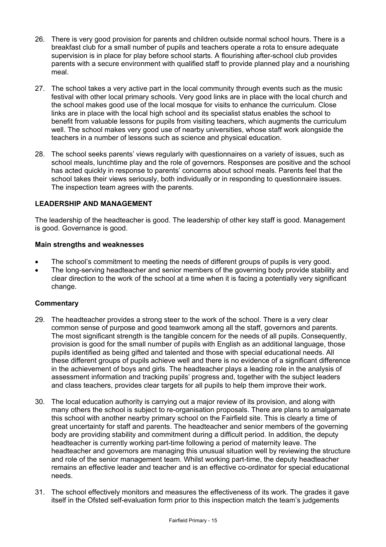- 26. There is very good provision for parents and children outside normal school hours. There is a breakfast club for a small number of pupils and teachers operate a rota to ensure adequate supervision is in place for play before school starts. A flourishing after-school club provides parents with a secure environment with qualified staff to provide planned play and a nourishing meal.
- 27. The school takes a very active part in the local community through events such as the music festival with other local primary schools. Very good links are in place with the local church and the school makes good use of the local mosque for visits to enhance the curriculum. Close links are in place with the local high school and its specialist status enables the school to benefit from valuable lessons for pupils from visiting teachers, which augments the curriculum well. The school makes very good use of nearby universities, whose staff work alongside the teachers in a number of lessons such as science and physical education.
- 28. The school seeks parents' views regularly with questionnaires on a variety of issues, such as school meals, lunchtime play and the role of governors. Responses are positive and the school has acted quickly in response to parents' concerns about school meals. Parents feel that the school takes their views seriously, both individually or in responding to questionnaire issues. The inspection team agrees with the parents.

# **LEADERSHIP AND MANAGEMENT**

The leadership of the headteacher is good. The leadership of other key staff is good. Management is good. Governance is good.

# **Main strengths and weaknesses**

- The school's commitment to meeting the needs of different groups of pupils is very good.
- The long-serving headteacher and senior members of the governing body provide stability and clear direction to the work of the school at a time when it is facing a potentially very significant change.

- 29. The headteacher provides a strong steer to the work of the school. There is a very clear common sense of purpose and good teamwork among all the staff, governors and parents. The most significant strength is the tangible concern for the needs of all pupils. Consequently, provision is good for the small number of pupils with English as an additional language, those pupils identified as being gifted and talented and those with special educational needs. All these different groups of pupils achieve well and there is no evidence of a significant difference in the achievement of boys and girls. The headteacher plays a leading role in the analysis of assessment information and tracking pupils' progress and, together with the subject leaders and class teachers, provides clear targets for all pupils to help them improve their work.
- 30. The local education authority is carrying out a major review of its provision, and along with many others the school is subject to re-organisation proposals. There are plans to amalgamate this school with another nearby primary school on the Fairfield site. This is clearly a time of great uncertainty for staff and parents. The headteacher and senior members of the governing body are providing stability and commitment during a difficult period. In addition, the deputy headteacher is currently working part-time following a period of maternity leave. The headteacher and governors are managing this unusual situation well by reviewing the structure and role of the senior management team. Whilst working part-time, the deputy headteacher remains an effective leader and teacher and is an effective co-ordinator for special educational needs.
- 31. The school effectively monitors and measures the effectiveness of its work. The grades it gave itself in the Ofsted self-evaluation form prior to this inspection match the team's judgements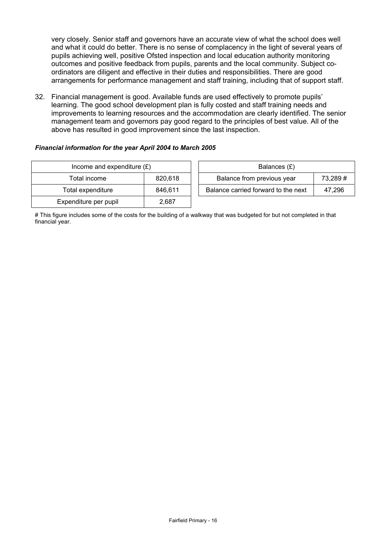very closely. Senior staff and governors have an accurate view of what the school does well and what it could do better. There is no sense of complacency in the light of several years of pupils achieving well, positive Ofsted inspection and local education authority monitoring outcomes and positive feedback from pupils, parents and the local community. Subject coordinators are diligent and effective in their duties and responsibilities. There are good arrangements for performance management and staff training, including that of support staff.

32. Financial management is good. Available funds are used effectively to promote pupils' learning. The good school development plan is fully costed and staff training needs and improvements to learning resources and the accommodation are clearly identified. The senior management team and governors pay good regard to the principles of best value. All of the above has resulted in good improvement since the last inspection.

#### *Financial information for the year April 2004 to March 2005*

| Income and expenditure $(E)$ | Balances (£) |                                  |
|------------------------------|--------------|----------------------------------|
| 820,618<br>Total income      |              | Balance from previous year       |
| Total expenditure            | 846.611      | Balance carried forward to the r |
| Expenditure per pupil        | 2,687        |                                  |

| Income and expenditure $(E)$ |         | Balances (£)                        |         |
|------------------------------|---------|-------------------------------------|---------|
| Total income                 | 820.618 | Balance from previous year          | 73,289# |
| Total expenditure            | 846.611 | Balance carried forward to the next | 47.296  |
|                              |         |                                     |         |

# This figure includes some of the costs for the building of a walkway that was budgeted for but not completed in that financial year.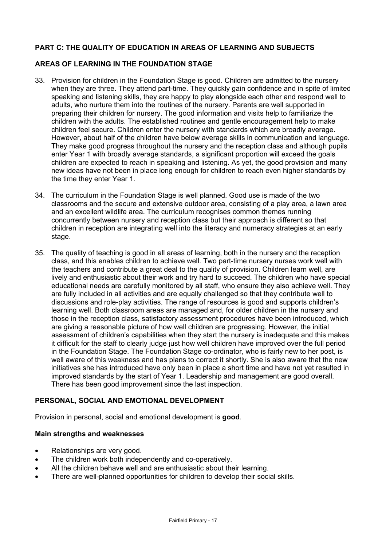# **PART C: THE QUALITY OF EDUCATION IN AREAS OF LEARNING AND SUBJECTS**

# **AREAS OF LEARNING IN THE FOUNDATION STAGE**

- 33. Provision for children in the Foundation Stage is good. Children are admitted to the nursery when they are three. They attend part-time. They quickly gain confidence and in spite of limited speaking and listening skills, they are happy to play alongside each other and respond well to adults, who nurture them into the routines of the nursery. Parents are well supported in preparing their children for nursery. The good information and visits help to familiarize the children with the adults. The established routines and gentle encouragement help to make children feel secure. Children enter the nursery with standards which are broadly average. However, about half of the children have below average skills in communication and language. They make good progress throughout the nursery and the reception class and although pupils enter Year 1 with broadly average standards, a significant proportion will exceed the goals children are expected to reach in speaking and listening. As yet, the good provision and many new ideas have not been in place long enough for children to reach even higher standards by the time they enter Year 1.
- 34. The curriculum in the Foundation Stage is well planned. Good use is made of the two classrooms and the secure and extensive outdoor area, consisting of a play area, a lawn area and an excellent wildlife area. The curriculum recognises common themes running concurrently between nursery and reception class but their approach is different so that children in reception are integrating well into the literacy and numeracy strategies at an early stage.
- 35. The quality of teaching is good in all areas of learning, both in the nursery and the reception class, and this enables children to achieve well. Two part-time nursery nurses work well with the teachers and contribute a great deal to the quality of provision. Children learn well, are lively and enthusiastic about their work and try hard to succeed. The children who have special educational needs are carefully monitored by all staff, who ensure they also achieve well. They are fully included in all activities and are equally challenged so that they contribute well to discussions and role-play activities. The range of resources is good and supports children's learning well. Both classroom areas are managed and, for older children in the nursery and those in the reception class, satisfactory assessment procedures have been introduced, which are giving a reasonable picture of how well children are progressing. However, the initial assessment of children's capabilities when they start the nursery is inadequate and this makes it difficult for the staff to clearly judge just how well children have improved over the full period in the Foundation Stage. The Foundation Stage co-ordinator, who is fairly new to her post, is well aware of this weakness and has plans to correct it shortly. She is also aware that the new initiatives she has introduced have only been in place a short time and have not yet resulted in improved standards by the start of Year 1. Leadership and management are good overall. There has been good improvement since the last inspection.

# **PERSONAL, SOCIAL AND EMOTIONAL DEVELOPMENT**

Provision in personal, social and emotional development is **good**.

#### **Main strengths and weaknesses**

- Relationships are very good.
- The children work both independently and co-operatively.
- All the children behave well and are enthusiastic about their learning.
- There are well-planned opportunities for children to develop their social skills.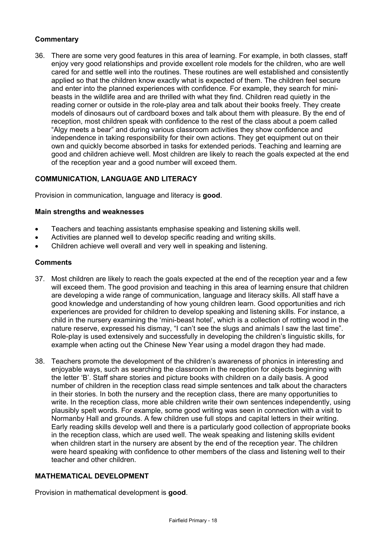# **Commentary**

36. There are some very good features in this area of learning. For example, in both classes, staff enjoy very good relationships and provide excellent role models for the children, who are well cared for and settle well into the routines. These routines are well established and consistently applied so that the children know exactly what is expected of them. The children feel secure and enter into the planned experiences with confidence. For example, they search for minibeasts in the wildlife area and are thrilled with what they find. Children read quietly in the reading corner or outside in the role-play area and talk about their books freely. They create models of dinosaurs out of cardboard boxes and talk about them with pleasure. By the end of reception, most children speak with confidence to the rest of the class about a poem called "Algy meets a bear" and during various classroom activities they show confidence and independence in taking responsibility for their own actions. They get equipment out on their own and quickly become absorbed in tasks for extended periods. Teaching and learning are good and children achieve well. Most children are likely to reach the goals expected at the end of the reception year and a good number will exceed them.

# **COMMUNICATION, LANGUAGE AND LITERACY**

Provision in communication, language and literacy is **good**.

## **Main strengths and weaknesses**

- Teachers and teaching assistants emphasise speaking and listening skills well.
- Activities are planned well to develop specific reading and writing skills.
- Children achieve well overall and very well in speaking and listening.

#### **Comments**

- 37. Most children are likely to reach the goals expected at the end of the reception year and a few will exceed them. The good provision and teaching in this area of learning ensure that children are developing a wide range of communication, language and literacy skills. All staff have a good knowledge and understanding of how young children learn. Good opportunities and rich experiences are provided for children to develop speaking and listening skills. For instance, a child in the nursery examining the 'mini-beast hotel', which is a collection of rotting wood in the nature reserve, expressed his dismay, "I can't see the slugs and animals I saw the last time". Role-play is used extensively and successfully in developing the children's linguistic skills, for example when acting out the Chinese New Year using a model dragon they had made.
- 38. Teachers promote the development of the children's awareness of phonics in interesting and enjoyable ways, such as searching the classroom in the reception for objects beginning with the letter 'B'. Staff share stories and picture books with children on a daily basis. A good number of children in the reception class read simple sentences and talk about the characters in their stories. In both the nursery and the reception class, there are many opportunities to write. In the reception class, more able children write their own sentences independently, using plausibly spelt words. For example, some good writing was seen in connection with a visit to Normanby Hall and grounds. A few children use full stops and capital letters in their writing. Early reading skills develop well and there is a particularly good collection of appropriate books in the reception class, which are used well. The weak speaking and listening skills evident when children start in the nursery are absent by the end of the reception year. The children were heard speaking with confidence to other members of the class and listening well to their teacher and other children.

# **MATHEMATICAL DEVELOPMENT**

Provision in mathematical development is **good**.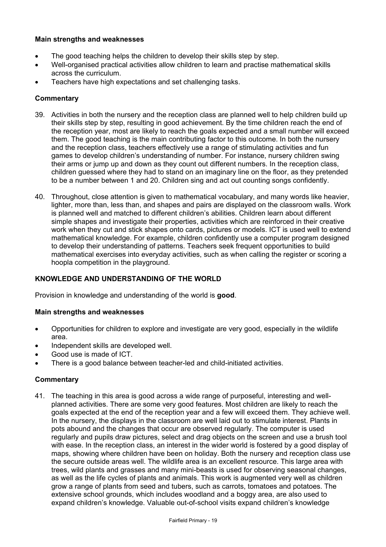# **Main strengths and weaknesses**

- The good teaching helps the children to develop their skills step by step.
- Well-organised practical activities allow children to learn and practise mathematical skills across the curriculum.
- Teachers have high expectations and set challenging tasks.

# **Commentary**

- 39. Activities in both the nursery and the reception class are planned well to help children build up their skills step by step, resulting in good achievement. By the time children reach the end of the reception year, most are likely to reach the goals expected and a small number will exceed them. The good teaching is the main contributing factor to this outcome. In both the nursery and the reception class, teachers effectively use a range of stimulating activities and fun games to develop children's understanding of number. For instance, nursery children swing their arms or jump up and down as they count out different numbers. In the reception class, children guessed where they had to stand on an imaginary line on the floor, as they pretended to be a number between 1 and 20. Children sing and act out counting songs confidently.
- 40. Throughout, close attention is given to mathematical vocabulary, and many words like heavier, lighter, more than, less than, and shapes and pairs are displayed on the classroom walls. Work is planned well and matched to different children's abilities. Children learn about different simple shapes and investigate their properties, activities which are reinforced in their creative work when they cut and stick shapes onto cards, pictures or models. ICT is used well to extend mathematical knowledge. For example, children confidently use a computer program designed to develop their understanding of patterns. Teachers seek frequent opportunities to build mathematical exercises into everyday activities, such as when calling the register or scoring a hoopla competition in the playground.

# **KNOWLEDGE AND UNDERSTANDING OF THE WORLD**

Provision in knowledge and understanding of the world is **good**.

#### **Main strengths and weaknesses**

- Opportunities for children to explore and investigate are very good, especially in the wildlife area.
- Independent skills are developed well.
- Good use is made of ICT.
- There is a good balance between teacher-led and child-initiated activities.

# **Commentary**

41. The teaching in this area is good across a wide range of purposeful, interesting and wellplanned activities. There are some very good features. Most children are likely to reach the goals expected at the end of the reception year and a few will exceed them. They achieve well. In the nursery, the displays in the classroom are well laid out to stimulate interest. Plants in pots abound and the changes that occur are observed regularly. The computer is used regularly and pupils draw pictures, select and drag objects on the screen and use a brush tool with ease. In the reception class, an interest in the wider world is fostered by a good display of maps, showing where children have been on holiday. Both the nursery and reception class use the secure outside areas well. The wildlife area is an excellent resource. This large area with trees, wild plants and grasses and many mini-beasts is used for observing seasonal changes, as well as the life cycles of plants and animals. This work is augmented very well as children grow a range of plants from seed and tubers, such as carrots, tomatoes and potatoes. The extensive school grounds, which includes woodland and a boggy area, are also used to expand children's knowledge. Valuable out-of-school visits expand children's knowledge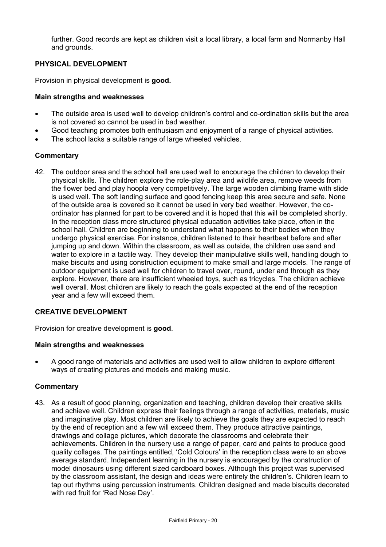further. Good records are kept as children visit a local library, a local farm and Normanby Hall and grounds.

# **PHYSICAL DEVELOPMENT**

Provision in physical development is **good.** 

## **Main strengths and weaknesses**

- The outside area is used well to develop children's control and co-ordination skills but the area is not covered so cannot be used in bad weather.
- Good teaching promotes both enthusiasm and enjoyment of a range of physical activities.
- The school lacks a suitable range of large wheeled vehicles.

# **Commentary**

42. The outdoor area and the school hall are used well to encourage the children to develop their physical skills. The children explore the role-play area and wildlife area, remove weeds from the flower bed and play hoopla very competitively. The large wooden climbing frame with slide is used well. The soft landing surface and good fencing keep this area secure and safe. None of the outside area is covered so it cannot be used in very bad weather. However, the coordinator has planned for part to be covered and it is hoped that this will be completed shortly. In the reception class more structured physical education activities take place, often in the school hall. Children are beginning to understand what happens to their bodies when they undergo physical exercise. For instance, children listened to their heartbeat before and after jumping up and down. Within the classroom, as well as outside, the children use sand and water to explore in a tactile way. They develop their manipulative skills well, handling dough to make biscuits and using construction equipment to make small and large models. The range of outdoor equipment is used well for children to travel over, round, under and through as they explore. However, there are insufficient wheeled toys, such as tricycles. The children achieve well overall. Most children are likely to reach the goals expected at the end of the reception year and a few will exceed them.

# **CREATIVE DEVELOPMENT**

Provision for creative development is **good**.

# **Main strengths and weaknesses**

• A good range of materials and activities are used well to allow children to explore different ways of creating pictures and models and making music.

# **Commentary**

43. As a result of good planning, organization and teaching, children develop their creative skills and achieve well. Children express their feelings through a range of activities, materials, music and imaginative play. Most children are likely to achieve the goals they are expected to reach by the end of reception and a few will exceed them. They produce attractive paintings, drawings and collage pictures, which decorate the classrooms and celebrate their achievements. Children in the nursery use a range of paper, card and paints to produce good quality collages. The paintings entitled, 'Cold Colours' in the reception class were to an above average standard. Independent learning in the nursery is encouraged by the construction of model dinosaurs using different sized cardboard boxes. Although this project was supervised by the classroom assistant, the design and ideas were entirely the children's. Children learn to tap out rhythms using percussion instruments. Children designed and made biscuits decorated with red fruit for 'Red Nose Day'.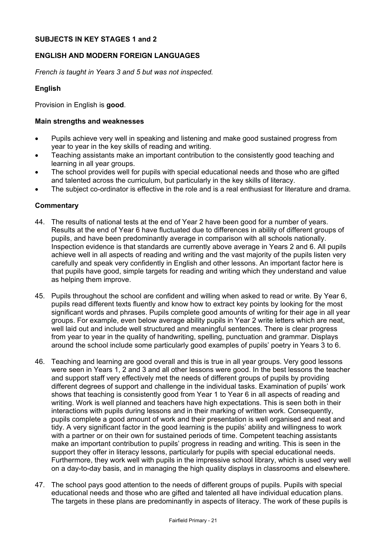# **SUBJECTS IN KEY STAGES 1 and 2**

# **ENGLISH AND MODERN FOREIGN LANGUAGES**

*French is taught in Years 3 and 5 but was not inspected.* 

# **English**

Provision in English is **good**.

## **Main strengths and weaknesses**

- Pupils achieve very well in speaking and listening and make good sustained progress from year to year in the key skills of reading and writing.
- Teaching assistants make an important contribution to the consistently good teaching and learning in all year groups.
- The school provides well for pupils with special educational needs and those who are gifted and talented across the curriculum, but particularly in the key skills of literacy.
- The subject co-ordinator is effective in the role and is a real enthusiast for literature and drama.

- 44. The results of national tests at the end of Year 2 have been good for a number of years. Results at the end of Year 6 have fluctuated due to differences in ability of different groups of pupils, and have been predominantly average in comparison with all schools nationally. Inspection evidence is that standards are currently above average in Years 2 and 6. All pupils achieve well in all aspects of reading and writing and the vast majority of the pupils listen very carefully and speak very confidently in English and other lessons. An important factor here is that pupils have good, simple targets for reading and writing which they understand and value as helping them improve.
- 45. Pupils throughout the school are confident and willing when asked to read or write. By Year 6, pupils read different texts fluently and know how to extract key points by looking for the most significant words and phrases. Pupils complete good amounts of writing for their age in all year groups. For example, even below average ability pupils in Year 2 write letters which are neat, well laid out and include well structured and meaningful sentences. There is clear progress from year to year in the quality of handwriting, spelling, punctuation and grammar. Displays around the school include some particularly good examples of pupils' poetry in Years 3 to 6.
- 46. Teaching and learning are good overall and this is true in all year groups. Very good lessons were seen in Years 1, 2 and 3 and all other lessons were good. In the best lessons the teacher and support staff very effectively met the needs of different groups of pupils by providing different degrees of support and challenge in the individual tasks. Examination of pupils' work shows that teaching is consistently good from Year 1 to Year 6 in all aspects of reading and writing. Work is well planned and teachers have high expectations. This is seen both in their interactions with pupils during lessons and in their marking of written work. Consequently, pupils complete a good amount of work and their presentation is well organised and neat and tidy. A very significant factor in the good learning is the pupils' ability and willingness to work with a partner or on their own for sustained periods of time. Competent teaching assistants make an important contribution to pupils' progress in reading and writing. This is seen in the support they offer in literacy lessons, particularly for pupils with special educational needs. Furthermore, they work well with pupils in the impressive school library, which is used very well on a day-to-day basis, and in managing the high quality displays in classrooms and elsewhere.
- 47. The school pays good attention to the needs of different groups of pupils. Pupils with special educational needs and those who are gifted and talented all have individual education plans. The targets in these plans are predominantly in aspects of literacy. The work of these pupils is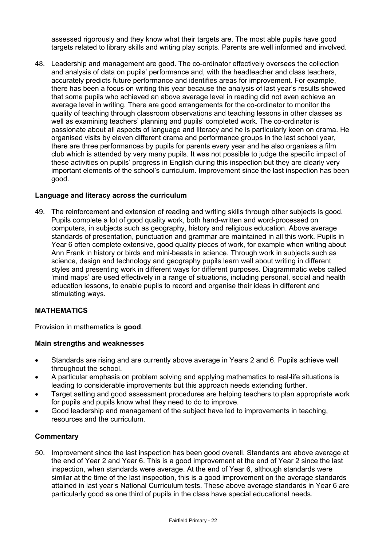assessed rigorously and they know what their targets are. The most able pupils have good targets related to library skills and writing play scripts. Parents are well informed and involved.

48. Leadership and management are good. The co-ordinator effectively oversees the collection and analysis of data on pupils' performance and, with the headteacher and class teachers, accurately predicts future performance and identifies areas for improvement. For example, there has been a focus on writing this year because the analysis of last year's results showed that some pupils who achieved an above average level in reading did not even achieve an average level in writing. There are good arrangements for the co-ordinator to monitor the quality of teaching through classroom observations and teaching lessons in other classes as well as examining teachers' planning and pupils' completed work. The co-ordinator is passionate about all aspects of language and literacy and he is particularly keen on drama. He organised visits by eleven different drama and performance groups in the last school year, there are three performances by pupils for parents every year and he also organises a film club which is attended by very many pupils. It was not possible to judge the specific impact of these activities on pupils' progress in English during this inspection but they are clearly very important elements of the school's curriculum. Improvement since the last inspection has been good.

# **Language and literacy across the curriculum**

49. The reinforcement and extension of reading and writing skills through other subjects is good. Pupils complete a lot of good quality work, both hand-written and word-processed on computers, in subjects such as geography, history and religious education. Above average standards of presentation, punctuation and grammar are maintained in all this work. Pupils in Year 6 often complete extensive, good quality pieces of work, for example when writing about Ann Frank in history or birds and mini-beasts in science. Through work in subjects such as science, design and technology and geography pupils learn well about writing in different styles and presenting work in different ways for different purposes. Diagrammatic webs called 'mind maps' are used effectively in a range of situations, including personal, social and health education lessons, to enable pupils to record and organise their ideas in different and stimulating ways.

#### **MATHEMATICS**

Provision in mathematics is **good**.

#### **Main strengths and weaknesses**

- Standards are rising and are currently above average in Years 2 and 6. Pupils achieve well throughout the school.
- A particular emphasis on problem solving and applying mathematics to real-life situations is leading to considerable improvements but this approach needs extending further.
- Target setting and good assessment procedures are helping teachers to plan appropriate work for pupils and pupils know what they need to do to improve.
- Good leadership and management of the subject have led to improvements in teaching, resources and the curriculum.

#### **Commentary**

50. Improvement since the last inspection has been good overall. Standards are above average at the end of Year 2 and Year 6. This is a good improvement at the end of Year 2 since the last inspection, when standards were average. At the end of Year 6, although standards were similar at the time of the last inspection, this is a good improvement on the average standards attained in last year's National Curriculum tests. These above average standards in Year 6 are particularly good as one third of pupils in the class have special educational needs.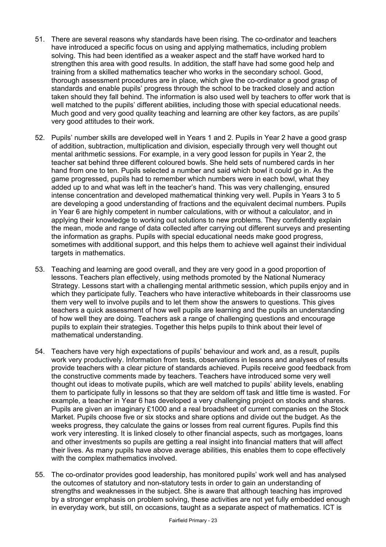- 51. There are several reasons why standards have been rising. The co-ordinator and teachers have introduced a specific focus on using and applying mathematics, including problem solving. This had been identified as a weaker aspect and the staff have worked hard to strengthen this area with good results. In addition, the staff have had some good help and training from a skilled mathematics teacher who works in the secondary school. Good, thorough assessment procedures are in place, which give the co-ordinator a good grasp of standards and enable pupils' progress through the school to be tracked closely and action taken should they fall behind. The information is also used well by teachers to offer work that is well matched to the pupils' different abilities, including those with special educational needs. Much good and very good quality teaching and learning are other key factors, as are pupils' very good attitudes to their work.
- 52. Pupils' number skills are developed well in Years 1 and 2. Pupils in Year 2 have a good grasp of addition, subtraction, multiplication and division, especially through very well thought out mental arithmetic sessions. For example, in a very good lesson for pupils in Year 2, the teacher sat behind three different coloured bowls. She held sets of numbered cards in her hand from one to ten. Pupils selected a number and said which bowl it could go in. As the game progressed, pupils had to remember which numbers were in each bowl, what they added up to and what was left in the teacher's hand. This was very challenging, ensured intense concentration and developed mathematical thinking very well. Pupils in Years 3 to 5 are developing a good understanding of fractions and the equivalent decimal numbers. Pupils in Year 6 are highly competent in number calculations, with or without a calculator, and in applying their knowledge to working out solutions to new problems. They confidently explain the mean, mode and range of data collected after carrying out different surveys and presenting the information as graphs. Pupils with special educational needs make good progress, sometimes with additional support, and this helps them to achieve well against their individual targets in mathematics.
- 53. Teaching and learning are good overall, and they are very good in a good proportion of lessons. Teachers plan effectively, using methods promoted by the National Numeracy Strategy. Lessons start with a challenging mental arithmetic session, which pupils enjoy and in which they participate fully. Teachers who have interactive whiteboards in their classrooms use them very well to involve pupils and to let them show the answers to questions. This gives teachers a quick assessment of how well pupils are learning and the pupils an understanding of how well they are doing. Teachers ask a range of challenging questions and encourage pupils to explain their strategies. Together this helps pupils to think about their level of mathematical understanding.
- 54. Teachers have very high expectations of pupils' behaviour and work and, as a result, pupils work very productively. Information from tests, observations in lessons and analyses of results provide teachers with a clear picture of standards achieved. Pupils receive good feedback from the constructive comments made by teachers. Teachers have introduced some very well thought out ideas to motivate pupils, which are well matched to pupils' ability levels, enabling them to participate fully in lessons so that they are seldom off task and little time is wasted. For example, a teacher in Year 6 has developed a very challenging project on stocks and shares. Pupils are given an imaginary £1000 and a real broadsheet of current companies on the Stock Market. Pupils choose five or six stocks and share options and divide out the budget. As the weeks progress, they calculate the gains or losses from real current figures. Pupils find this work very interesting. It is linked closely to other financial aspects, such as mortgages, loans and other investments so pupils are getting a real insight into financial matters that will affect their lives. As many pupils have above average abilities, this enables them to cope effectively with the complex mathematics involved.
- 55. The co-ordinator provides good leadership, has monitored pupils' work well and has analysed the outcomes of statutory and non-statutory tests in order to gain an understanding of strengths and weaknesses in the subject. She is aware that although teaching has improved by a stronger emphasis on problem solving, these activities are not yet fully embedded enough in everyday work, but still, on occasions, taught as a separate aspect of mathematics. ICT is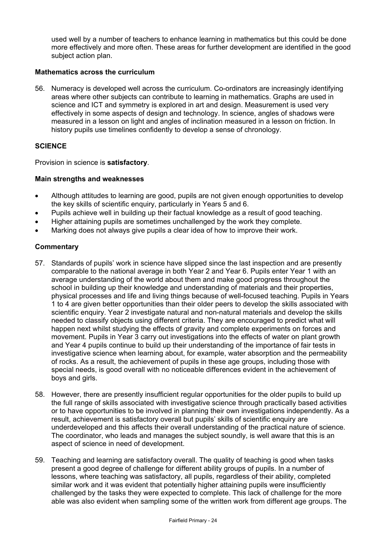used well by a number of teachers to enhance learning in mathematics but this could be done more effectively and more often. These areas for further development are identified in the good subject action plan.

## **Mathematics across the curriculum**

56. Numeracy is developed well across the curriculum. Co-ordinators are increasingly identifying areas where other subjects can contribute to learning in mathematics. Graphs are used in science and ICT and symmetry is explored in art and design. Measurement is used very effectively in some aspects of design and technology. In science, angles of shadows were measured in a lesson on light and angles of inclination measured in a lesson on friction. In history pupils use timelines confidently to develop a sense of chronology.

# **SCIENCE**

Provision in science is **satisfactory**.

## **Main strengths and weaknesses**

- Although attitudes to learning are good, pupils are not given enough opportunities to develop the key skills of scientific enquiry, particularly in Years 5 and 6.
- Pupils achieve well in building up their factual knowledge as a result of good teaching.
- Higher attaining pupils are sometimes unchallenged by the work they complete.
- Marking does not always give pupils a clear idea of how to improve their work.

- 57. Standards of pupils' work in science have slipped since the last inspection and are presently comparable to the national average in both Year 2 and Year 6. Pupils enter Year 1 with an average understanding of the world about them and make good progress throughout the school in building up their knowledge and understanding of materials and their properties, physical processes and life and living things because of well-focused teaching. Pupils in Years 1 to 4 are given better opportunities than their older peers to develop the skills associated with scientific enquiry. Year 2 investigate natural and non-natural materials and develop the skills needed to classify objects using different criteria. They are encouraged to predict what will happen next whilst studying the effects of gravity and complete experiments on forces and movement. Pupils in Year 3 carry out investigations into the effects of water on plant growth and Year 4 pupils continue to build up their understanding of the importance of fair tests in investigative science when learning about, for example, water absorption and the permeability of rocks. As a result, the achievement of pupils in these age groups, including those with special needs, is good overall with no noticeable differences evident in the achievement of boys and girls.
- 58. However, there are presently insufficient regular opportunities for the older pupils to build up the full range of skills associated with investigative science through practically based activities or to have opportunities to be involved in planning their own investigations independently. As a result, achievement is satisfactory overall but pupils' skills of scientific enquiry are underdeveloped and this affects their overall understanding of the practical nature of science. The coordinator, who leads and manages the subject soundly, is well aware that this is an aspect of science in need of development.
- 59. Teaching and learning are satisfactory overall. The quality of teaching is good when tasks present a good degree of challenge for different ability groups of pupils. In a number of lessons, where teaching was satisfactory, all pupils, regardless of their ability, completed similar work and it was evident that potentially higher attaining pupils were insufficiently challenged by the tasks they were expected to complete. This lack of challenge for the more able was also evident when sampling some of the written work from different age groups. The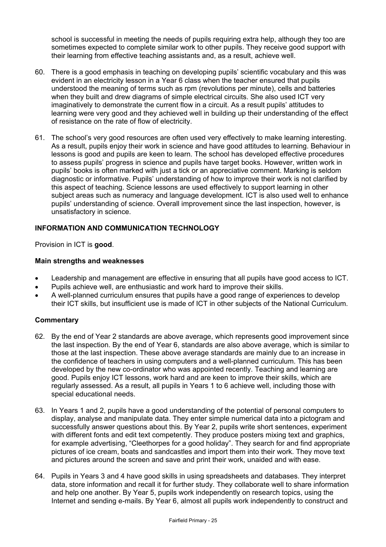school is successful in meeting the needs of pupils requiring extra help, although they too are sometimes expected to complete similar work to other pupils. They receive good support with their learning from effective teaching assistants and, as a result, achieve well.

- 60. There is a good emphasis in teaching on developing pupils' scientific vocabulary and this was evident in an electricity lesson in a Year 6 class when the teacher ensured that pupils understood the meaning of terms such as rpm (revolutions per minute), cells and batteries when they built and drew diagrams of simple electrical circuits. She also used ICT very imaginatively to demonstrate the current flow in a circuit. As a result pupils' attitudes to learning were very good and they achieved well in building up their understanding of the effect of resistance on the rate of flow of electricity.
- 61. The school's very good resources are often used very effectively to make learning interesting. As a result, pupils enjoy their work in science and have good attitudes to learning. Behaviour in lessons is good and pupils are keen to learn. The school has developed effective procedures to assess pupils' progress in science and pupils have target books. However, written work in pupils' books is often marked with just a tick or an appreciative comment. Marking is seldom diagnostic or informative. Pupils' understanding of how to improve their work is not clarified by this aspect of teaching. Science lessons are used effectively to support learning in other subject areas such as numeracy and language development. ICT is also used well to enhance pupils' understanding of science. Overall improvement since the last inspection, however, is unsatisfactory in science.

# **INFORMATION AND COMMUNICATION TECHNOLOGY**

Provision in ICT is **good**.

# **Main strengths and weaknesses**

- Leadership and management are effective in ensuring that all pupils have good access to ICT.
- Pupils achieve well, are enthusiastic and work hard to improve their skills.
- A well-planned curriculum ensures that pupils have a good range of experiences to develop their ICT skills, but insufficient use is made of ICT in other subjects of the National Curriculum.

- 62. By the end of Year 2 standards are above average, which represents good improvement since the last inspection. By the end of Year 6, standards are also above average, which is similar to those at the last inspection. These above average standards are mainly due to an increase in the confidence of teachers in using computers and a well-planned curriculum. This has been developed by the new co-ordinator who was appointed recently. Teaching and learning are good. Pupils enjoy ICT lessons, work hard and are keen to improve their skills, which are regularly assessed. As a result, all pupils in Years 1 to 6 achieve well, including those with special educational needs.
- 63. In Years 1 and 2, pupils have a good understanding of the potential of personal computers to display, analyse and manipulate data. They enter simple numerical data into a pictogram and successfully answer questions about this. By Year 2, pupils write short sentences, experiment with different fonts and edit text competently. They produce posters mixing text and graphics, for example advertising, "Cleethorpes for a good holiday". They search for and find appropriate pictures of ice cream, boats and sandcastles and import them into their work. They move text and pictures around the screen and save and print their work, unaided and with ease.
- 64. Pupils in Years 3 and 4 have good skills in using spreadsheets and databases. They interpret data, store information and recall it for further study. They collaborate well to share information and help one another. By Year 5, pupils work independently on research topics, using the Internet and sending e-mails. By Year 6, almost all pupils work independently to construct and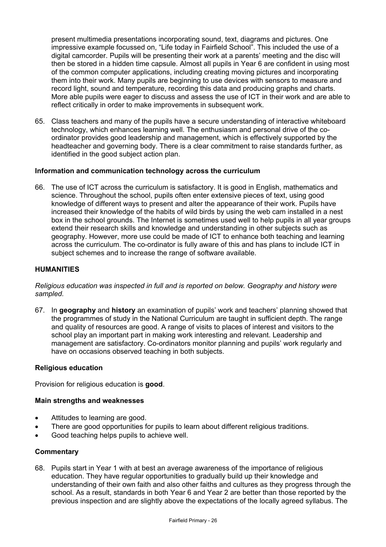present multimedia presentations incorporating sound, text, diagrams and pictures. One impressive example focussed on, "Life today in Fairfield School". This included the use of a digital camcorder. Pupils will be presenting their work at a parents' meeting and the disc will then be stored in a hidden time capsule. Almost all pupils in Year 6 are confident in using most of the common computer applications, including creating moving pictures and incorporating them into their work. Many pupils are beginning to use devices with sensors to measure and record light, sound and temperature, recording this data and producing graphs and charts. More able pupils were eager to discuss and assess the use of ICT in their work and are able to reflect critically in order to make improvements in subsequent work.

65. Class teachers and many of the pupils have a secure understanding of interactive whiteboard technology, which enhances learning well. The enthusiasm and personal drive of the coordinator provides good leadership and management, which is effectively supported by the headteacher and governing body. There is a clear commitment to raise standards further, as identified in the good subject action plan.

# **Information and communication technology across the curriculum**

66. The use of ICT across the curriculum is satisfactory. It is good in English, mathematics and science. Throughout the school, pupils often enter extensive pieces of text, using good knowledge of different ways to present and alter the appearance of their work. Pupils have increased their knowledge of the habits of wild birds by using the web cam installed in a nest box in the school grounds. The Internet is sometimes used well to help pupils in all year groups extend their research skills and knowledge and understanding in other subjects such as geography. However, more use could be made of ICT to enhance both teaching and learning across the curriculum. The co-ordinator is fully aware of this and has plans to include ICT in subject schemes and to increase the range of software available.

## **HUMANITIES**

*Religious education was inspected in full and is reported on below. Geography and history were sampled.* 

67. In **geography** and **history** an examination of pupils' work and teachers' planning showed that the programmes of study in the National Curriculum are taught in sufficient depth. The range and quality of resources are good. A range of visits to places of interest and visitors to the school play an important part in making work interesting and relevant. Leadership and management are satisfactory. Co-ordinators monitor planning and pupils' work regularly and have on occasions observed teaching in both subjects.

#### **Religious education**

Provision for religious education is **good**.

## **Main strengths and weaknesses**

- Attitudes to learning are good.
- There are good opportunities for pupils to learn about different religious traditions.
- Good teaching helps pupils to achieve well.

## **Commentary**

68. Pupils start in Year 1 with at best an average awareness of the importance of religious education. They have regular opportunities to gradually build up their knowledge and understanding of their own faith and also other faiths and cultures as they progress through the school. As a result, standards in both Year 6 and Year 2 are better than those reported by the previous inspection and are slightly above the expectations of the locally agreed syllabus. The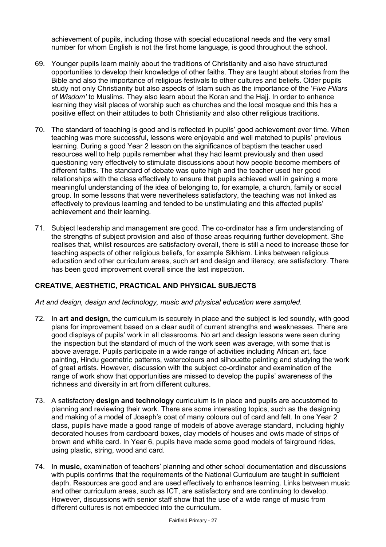achievement of pupils, including those with special educational needs and the very small number for whom English is not the first home language, is good throughout the school.

- 69. Younger pupils learn mainly about the traditions of Christianity and also have structured opportunities to develop their knowledge of other faiths. They are taught about stories from the Bible and also the importance of religious festivals to other cultures and beliefs. Older pupils study not only Christianity but also aspects of Islam such as the importance of the '*Five Pillars of Wisdom'* to Muslims. They also learn about the Koran and the Hajj. In order to enhance learning they visit places of worship such as churches and the local mosque and this has a positive effect on their attitudes to both Christianity and also other religious traditions.
- 70. The standard of teaching is good and is reflected in pupils' good achievement over time. When teaching was more successful, lessons were enjoyable and well matched to pupils' previous learning. During a good Year 2 lesson on the significance of baptism the teacher used resources well to help pupils remember what they had learnt previously and then used questioning very effectively to stimulate discussions about how people become members of different faiths. The standard of debate was quite high and the teacher used her good relationships with the class effectively to ensure that pupils achieved well in gaining a more meaningful understanding of the idea of belonging to, for example, a church, family or social group. In some lessons that were nevertheless satisfactory, the teaching was not linked as effectively to previous learning and tended to be unstimulating and this affected pupils' achievement and their learning.
- 71. Subject leadership and management are good. The co-ordinator has a firm understanding of the strengths of subject provision and also of those areas requiring further development. She realises that, whilst resources are satisfactory overall, there is still a need to increase those for teaching aspects of other religious beliefs, for example Sikhism. Links between religious education and other curriculum areas, such art and design and literacy, are satisfactory. There has been good improvement overall since the last inspection.

# **CREATIVE, AESTHETIC, PRACTICAL AND PHYSICAL SUBJECTS**

*Art and design, design and technology, music and physical education were sampled.* 

- 72. In **art and design,** the curriculum is securely in place and the subject is led soundly, with good plans for improvement based on a clear audit of current strengths and weaknesses. There are good displays of pupils' work in all classrooms. No art and design lessons were seen during the inspection but the standard of much of the work seen was average, with some that is above average. Pupils participate in a wide range of activities including African art, face painting, Hindu geometric patterns, watercolours and silhouette painting and studying the work of great artists. However, discussion with the subject co-ordinator and examination of the range of work show that opportunities are missed to develop the pupils' awareness of the richness and diversity in art from different cultures.
- 73. A satisfactory **design and technology** curriculum is in place and pupils are accustomed to planning and reviewing their work. There are some interesting topics, such as the designing and making of a model of Joseph's coat of many colours out of card and felt. In one Year 2 class, pupils have made a good range of models of above average standard, including highly decorated houses from cardboard boxes, clay models of houses and owls made of strips of brown and white card. In Year 6, pupils have made some good models of fairground rides, using plastic, string, wood and card.
- 74. In **music,** examination of teachers' planning and other school documentation and discussions with pupils confirms that the requirements of the National Curriculum are taught in sufficient depth. Resources are good and are used effectively to enhance learning. Links between music and other curriculum areas, such as ICT, are satisfactory and are continuing to develop. However, discussions with senior staff show that the use of a wide range of music from different cultures is not embedded into the curriculum.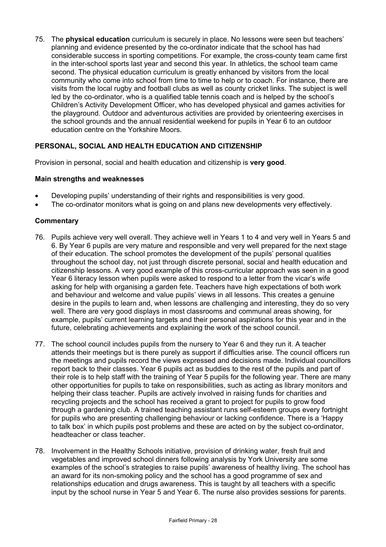75. The **physical education** curriculum is securely in place. No lessons were seen but teachers' planning and evidence presented by the co-ordinator indicate that the school has had considerable success in sporting competitions. For example, the cross-county team came first in the inter-school sports last year and second this year. In athletics, the school team came second. The physical education curriculum is greatly enhanced by visitors from the local community who come into school from time to time to help or to coach. For instance, there are visits from the local rugby and football clubs as well as county cricket links. The subject is well led by the co-ordinator, who is a qualified table tennis coach and is helped by the school's Children's Activity Development Officer, who has developed physical and games activities for the playground. Outdoor and adventurous activities are provided by orienteering exercises in the school grounds and the annual residential weekend for pupils in Year 6 to an outdoor education centre on the Yorkshire Moors.

# **PERSONAL, SOCIAL AND HEALTH EDUCATION AND CITIZENSHIP**

Provision in personal, social and health education and citizenship is **very good**.

## **Main strengths and weaknesses**

- Developing pupils' understanding of their rights and responsibilities is very good.
- The co-ordinator monitors what is going on and plans new developments very effectively.

- 76. Pupils achieve very well overall. They achieve well in Years 1 to 4 and very well in Years 5 and 6. By Year 6 pupils are very mature and responsible and very well prepared for the next stage of their education. The school promotes the development of the pupils' personal qualities throughout the school day, not just through discrete personal, social and health education and citizenship lessons. A very good example of this cross-curricular approach was seen in a good Year 6 literacy lesson when pupils were asked to respond to a letter from the vicar's wife asking for help with organising a garden fete. Teachers have high expectations of both work and behaviour and welcome and value pupils' views in all lessons. This creates a genuine desire in the pupils to learn and, when lessons are challenging and interesting, they do so very well. There are very good displays in most classrooms and communal areas showing, for example, pupils' current learning targets and their personal aspirations for this year and in the future, celebrating achievements and explaining the work of the school council.
- 77. The school council includes pupils from the nursery to Year 6 and they run it. A teacher attends their meetings but is there purely as support if difficulties arise. The council officers run the meetings and pupils record the views expressed and decisions made. Individual councillors report back to their classes. Year 6 pupils act as buddies to the rest of the pupils and part of their role is to help staff with the training of Year 5 pupils for the following year. There are many other opportunities for pupils to take on responsibilities, such as acting as library monitors and helping their class teacher. Pupils are actively involved in raising funds for charities and recycling projects and the school has received a grant to project for pupils to grow food through a gardening club. A trained teaching assistant runs self-esteem groups every fortnight for pupils who are presenting challenging behaviour or lacking confidence. There is a 'Happy to talk box' in which pupils post problems and these are acted on by the subject co-ordinator, headteacher or class teacher.
- 78. Involvement in the Healthy Schools initiative, provision of drinking water, fresh fruit and vegetables and improved school dinners following analysis by York University are some examples of the school's strategies to raise pupils' awareness of healthy living. The school has an award for its non-smoking policy and the school has a good programme of sex and relationships education and drugs awareness. This is taught by all teachers with a specific input by the school nurse in Year 5 and Year 6. The nurse also provides sessions for parents.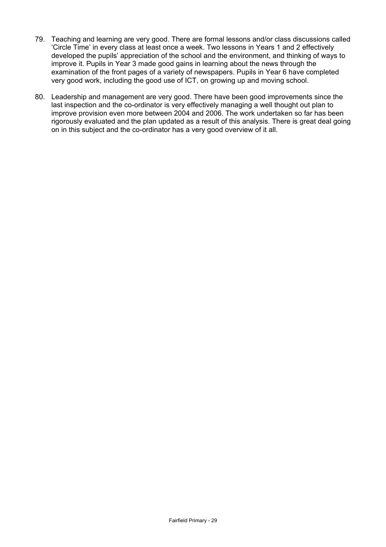- 79. Teaching and learning are very good. There are formal lessons and/or class discussions called 'Circle Time' in every class at least once a week. Two lessons in Years 1 and 2 effectively developed the pupils' appreciation of the school and the environment, and thinking of ways to improve it. Pupils in Year 3 made good gains in learning about the news through the examination of the front pages of a variety of newspapers. Pupils in Year 6 have completed very good work, including the good use of ICT, on growing up and moving school.
- 80. Leadership and management are very good. There have been good improvements since the last inspection and the co-ordinator is very effectively managing a well thought out plan to improve provision even more between 2004 and 2006. The work undertaken so far has been rigorously evaluated and the plan updated as a result of this analysis. There is great deal going on in this subject and the co-ordinator has a very good overview of it all.